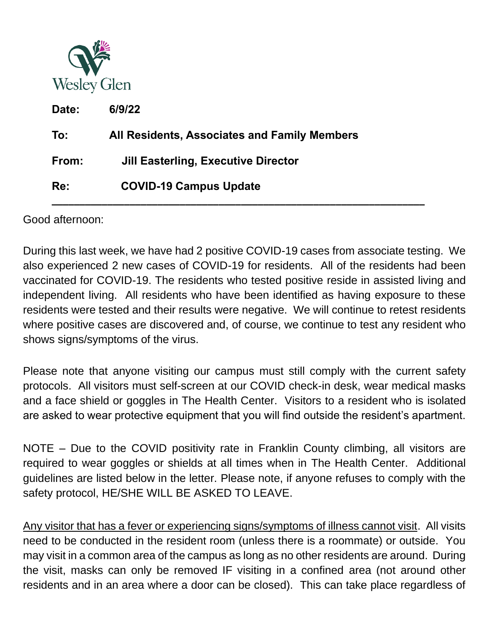

| Date: | 6/9/22                                       |
|-------|----------------------------------------------|
| To:   | All Residents, Associates and Family Members |
| From: | Jill Easterling, Executive Director          |
| Re:   | <b>COVID-19 Campus Update</b>                |

Good afternoon:

During this last week, we have had 2 positive COVID-19 cases from associate testing. We also experienced 2 new cases of COVID-19 for residents. All of the residents had been vaccinated for COVID-19. The residents who tested positive reside in assisted living and independent living. All residents who have been identified as having exposure to these residents were tested and their results were negative. We will continue to retest residents where positive cases are discovered and, of course, we continue to test any resident who shows signs/symptoms of the virus.

**\_\_\_\_\_\_\_\_\_\_\_\_\_\_\_\_\_\_\_\_\_\_\_\_\_\_\_\_\_\_\_\_\_\_\_\_\_\_\_\_\_\_\_\_\_\_\_\_\_\_\_\_\_\_\_\_\_\_\_\_\_\_\_\_\_\_\_**

Please note that anyone visiting our campus must still comply with the current safety protocols. All visitors must self-screen at our COVID check-in desk, wear medical masks and a face shield or goggles in The Health Center. Visitors to a resident who is isolated are asked to wear protective equipment that you will find outside the resident's apartment.

NOTE – Due to the COVID positivity rate in Franklin County climbing, all visitors are required to wear goggles or shields at all times when in The Health Center. Additional guidelines are listed below in the letter. Please note, if anyone refuses to comply with the safety protocol, HE/SHE WILL BE ASKED TO LEAVE.

Any visitor that has a fever or experiencing signs/symptoms of illness cannot visit. All visits need to be conducted in the resident room (unless there is a roommate) or outside. You may visit in a common area of the campus as long as no other residents are around. During the visit, masks can only be removed IF visiting in a confined area (not around other residents and in an area where a door can be closed). This can take place regardless of